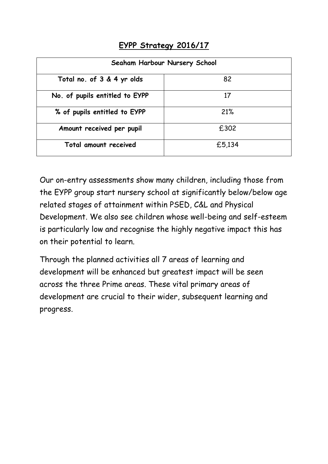## **EYPP Strategy 2016/17**

| Seaham Harbour Nursery School  |        |  |  |
|--------------------------------|--------|--|--|
| Total no. of 3 & 4 yr olds     | 82     |  |  |
| No. of pupils entitled to EYPP | 17     |  |  |
| % of pupils entitled to EYPP   | 21%    |  |  |
| Amount received per pupil      | £302   |  |  |
| Total amount received          | £5,134 |  |  |

Our on-entry assessments show many children, including those from the EYPP group start nursery school at significantly below/below age related stages of attainment within PSED, C&L and Physical Development. We also see children whose well-being and self-esteem is particularly low and recognise the highly negative impact this has on their potential to learn.

Through the planned activities all 7 areas of learning and development will be enhanced but greatest impact will be seen across the three Prime areas. These vital primary areas of development are crucial to their wider, subsequent learning and progress.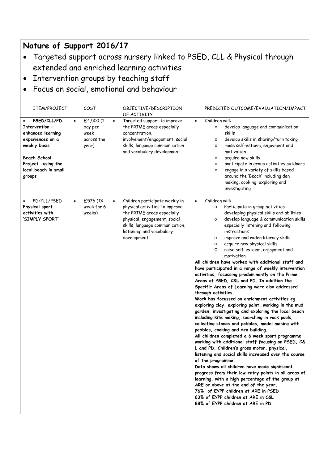## **Nature of Support 2016/17**

- Targeted support across nursery linked to PSED, CLL & Physical through extended and enriched learning activities
- Intervention groups by teaching staff
- Focus on social, emotional and behaviour

| ITEM/PROJECT                                                                                                                                                          | COST                                                             | OBJECTIVE/DESCRIPTION<br>OF ACTIVITY                                                                                                                                                                                      | PREDICTED OUTCOME/EVALUATION/IMPACT                                                                                                                                                                                                                                                                                                                                                                                                                                                                                                                                                                                                                                                                                                                                                                                                                                                                                                                                                                                                                                                                                                                                                                                                                                                                                                                                                                                                                                                                                                                 |
|-----------------------------------------------------------------------------------------------------------------------------------------------------------------------|------------------------------------------------------------------|---------------------------------------------------------------------------------------------------------------------------------------------------------------------------------------------------------------------------|-----------------------------------------------------------------------------------------------------------------------------------------------------------------------------------------------------------------------------------------------------------------------------------------------------------------------------------------------------------------------------------------------------------------------------------------------------------------------------------------------------------------------------------------------------------------------------------------------------------------------------------------------------------------------------------------------------------------------------------------------------------------------------------------------------------------------------------------------------------------------------------------------------------------------------------------------------------------------------------------------------------------------------------------------------------------------------------------------------------------------------------------------------------------------------------------------------------------------------------------------------------------------------------------------------------------------------------------------------------------------------------------------------------------------------------------------------------------------------------------------------------------------------------------------------|
| PSED/CLL/PD<br>Intervention -<br>enhanced learning<br>experiences on a<br>weekly basis<br><b>Beach School</b><br>Project -using the<br>local beach in small<br>groups | £4,500 (1<br>$\bullet$<br>day per<br>week<br>across the<br>year) | Targeted support to improve<br>$\bullet$<br>the PRIME areas especially<br>concentration,<br>involvement/engagement, social<br>skills, language communication<br>and vocabulary development                                | Children will:<br>$\bullet$<br>develop language and communication<br>$\circ$<br>skills<br>develop skills in sharing/turn taking<br>$\circ$<br>raise self-esteem, enjoyment and<br>$\circ$<br>motivation<br>acquire new skills<br>$\circ$<br>participate in group activities outdoors<br>$\circ$<br>engage in a variety of skills based<br>$\circ$<br>around the 'Beach' including den<br>making, cooking, exploring and<br>investigating                                                                                                                                                                                                                                                                                                                                                                                                                                                                                                                                                                                                                                                                                                                                                                                                                                                                                                                                                                                                                                                                                                            |
| PD/CLL/PSED<br>Physical sport<br>activities with<br>'SIMPLY SPORT'                                                                                                    | £576 (1X<br>week for 6<br>weeks)                                 | Children participate weekly in<br>$\bullet$<br>physical activities to improve<br>the PRIME areas especially<br>physical, engagement, social<br>skills, language communication,<br>listening and vocabulary<br>development | Children will:<br>$\bullet$<br>Participate in group activities<br>$\circ$<br>developing physical skills and abilities<br>develop language & communication skills<br>$\circ$<br>especially listening and following<br>instructions<br>improve and widen literacy skills<br>$\circ$<br>acquire new physical skills<br>$\circ$<br>raise self-esteem, enjoyment and<br>O<br>motivation<br>All children have worked with additional staff and<br>have participated in a range of weekly intervention<br>activities, focussing predominantly on the Prime<br>Areas of PSED, C&L and PD. In addition the<br>Specific Areas of Learning were also addressed<br>through activities.<br>Work has focussed on enrichment activities eg<br>exploring clay, exploring paint, working in the mud<br>garden, investigating and exploring the local beach<br>including kite making, searching in rock pools,<br>collecting stones and pebbles, model making with<br>pebbles, cooking and den building.<br>All children completed a 6 week sport programme<br>working with additional staff focusing on PSED, C&<br>L and PD. Children's gross motor, physical,<br>listening and social skills increased over the course<br>of the programme.<br>Data shows all children have made significant<br>progress from their low entry points in all areas of<br>learning, with a high percentage of the group at<br>ARE or above at the end of the year.<br>76% of EYPP children at ARE in PSED<br>63% of EYPP children at ARE in C&L<br>88% of EYPP children at ARE in PD |